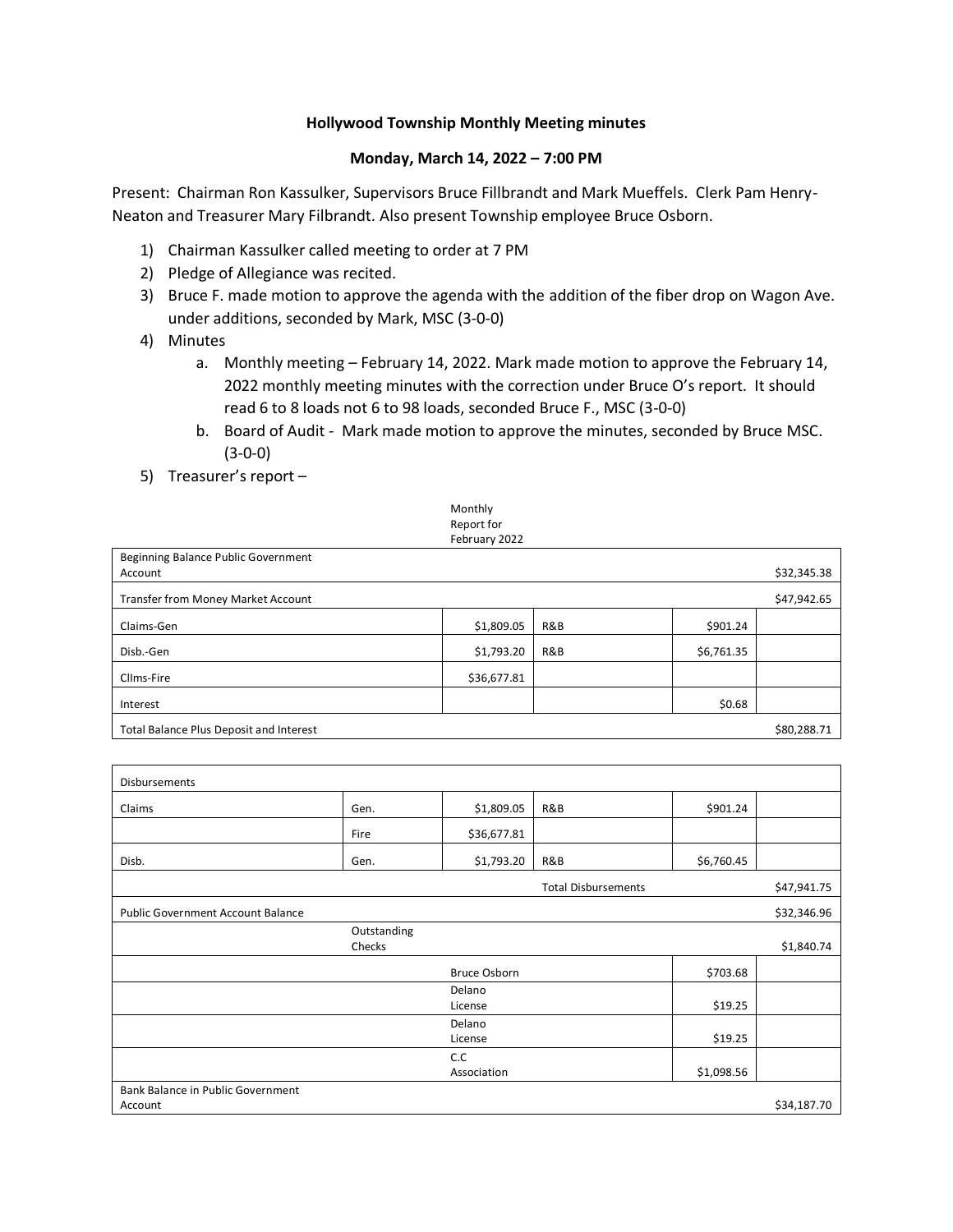## **Hollywood Township Monthly Meeting minutes**

## **Monday, March 14, 2022 – 7:00 PM**

Present: Chairman Ron Kassulker, Supervisors Bruce Fillbrandt and Mark Mueffels. Clerk Pam Henry-Neaton and Treasurer Mary Filbrandt. Also present Township employee Bruce Osborn.

- 1) Chairman Kassulker called meeting to order at 7 PM
- 2) Pledge of Allegiance was recited.
- 3) Bruce F. made motion to approve the agenda with the addition of the fiber drop on Wagon Ave. under additions, seconded by Mark, MSC (3-0-0)
- 4) Minutes
	- a. Monthly meeting February 14, 2022. Mark made motion to approve the February 14, 2022 monthly meeting minutes with the correction under Bruce O's report. It should read 6 to 8 loads not 6 to 98 loads, seconded Bruce F., MSC (3-0-0)
	- b. Board of Audit Mark made motion to approve the minutes, seconded by Bruce MSC. (3-0-0)
- 5) Treasurer's report –

| Monthly       |  |
|---------------|--|
| Report for    |  |
| February 2022 |  |

| Beginning Balance Public Government     |             |     |            |             |
|-----------------------------------------|-------------|-----|------------|-------------|
| Account                                 |             |     |            | \$32,345.38 |
| Transfer from Money Market Account      |             |     |            | \$47,942.65 |
|                                         |             |     |            |             |
| Claims-Gen                              | \$1,809.05  | R&B | \$901.24   |             |
| Disb.-Gen                               | \$1,793.20  | R&B | \$6,761.35 |             |
| Clims-Fire                              | \$36,677.81 |     |            |             |
| Interest                                |             |     | \$0.68     |             |
| Total Balance Plus Deposit and Interest |             |     |            | \$80,288.71 |

| <b>Disbursements</b>                     |             |              |                            |            |             |
|------------------------------------------|-------------|--------------|----------------------------|------------|-------------|
| Claims                                   | Gen.        | \$1,809.05   | R&B                        | \$901.24   |             |
|                                          | Fire        | \$36,677.81  |                            |            |             |
| Disb.                                    | Gen.        | \$1,793.20   | R&B                        | \$6,760.45 |             |
|                                          |             |              | <b>Total Disbursements</b> |            | \$47,941.75 |
| <b>Public Government Account Balance</b> |             |              |                            |            | \$32,346.96 |
|                                          | Outstanding |              |                            |            |             |
|                                          | Checks      |              |                            |            | \$1,840.74  |
|                                          |             | Bruce Osborn |                            | \$703.68   |             |
|                                          |             | Delano       |                            |            |             |
|                                          |             | License      |                            | \$19.25    |             |
|                                          |             | Delano       |                            |            |             |
|                                          |             | License      |                            | \$19.25    |             |
|                                          |             | C.C          |                            |            |             |
|                                          |             | Association  |                            | \$1,098.56 |             |
| Bank Balance in Public Government        |             |              |                            |            |             |
| Account                                  |             |              |                            |            | \$34,187.70 |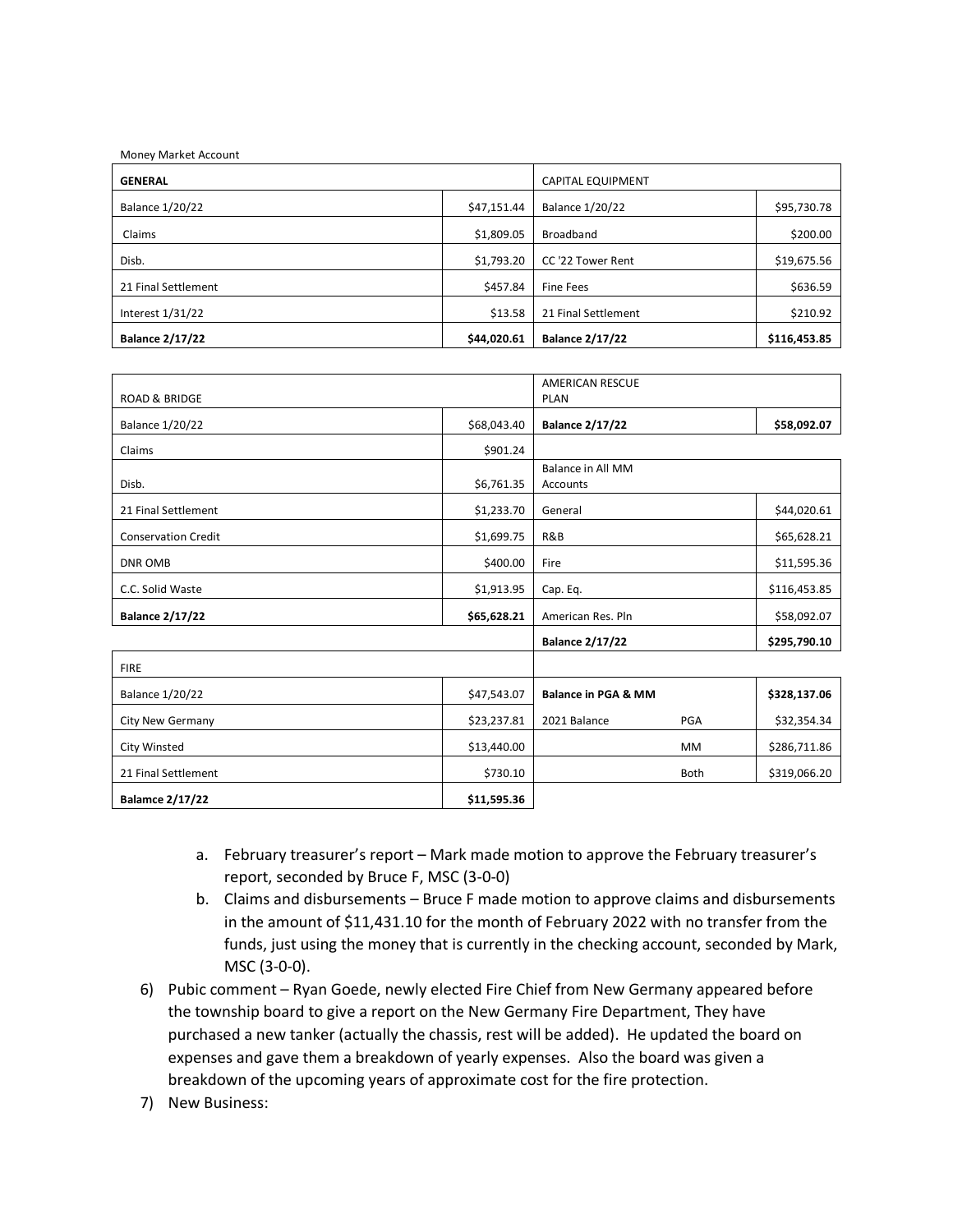| Money Market Account   |             |                          |              |
|------------------------|-------------|--------------------------|--------------|
| <b>GENERAL</b>         |             | <b>CAPITAL EQUIPMENT</b> |              |
| <b>Balance 1/20/22</b> | \$47,151.44 | <b>Balance 1/20/22</b>   | \$95,730.78  |
| Claims                 | \$1,809.05  | Broadband                | \$200.00     |
| Disb.                  | \$1,793.20  | CC '22 Tower Rent        | \$19,675.56  |
| 21 Final Settlement    | \$457.84    | <b>Fine Fees</b>         | \$636.59     |
| Interest $1/31/22$     | \$13.58     | 21 Final Settlement      | \$210.92     |
| <b>Balance 2/17/22</b> | \$44,020.61 | <b>Balance 2/17/22</b>   | \$116,453.85 |

| ROAD & BRIDGE              |             | <b>AMERICAN RESCUE</b><br><b>PLAN</b> |              |  |
|----------------------------|-------------|---------------------------------------|--------------|--|
| <b>Balance 1/20/22</b>     | \$68,043.40 | <b>Balance 2/17/22</b>                | \$58,092.07  |  |
| Claims                     | \$901.24    |                                       |              |  |
| Disb.                      | \$6,761.35  | Balance in All MM<br><b>Accounts</b>  |              |  |
| 21 Final Settlement        | \$1,233.70  | General                               | \$44,020.61  |  |
| <b>Conservation Credit</b> | \$1,699.75  | R&B                                   | \$65,628.21  |  |
| DNR OMB                    | \$400.00    | Fire                                  | \$11,595.36  |  |
| C.C. Solid Waste           | \$1,913.95  | Cap. Eq.                              | \$116,453.85 |  |
| <b>Balance 2/17/22</b>     | \$65,628.21 | American Res. Pln                     | \$58,092.07  |  |
|                            |             | <b>Balance 2/17/22</b>                | \$295,790.10 |  |
| <b>FIRE</b>                |             |                                       |              |  |

| .                      |             |                                |             |              |
|------------------------|-------------|--------------------------------|-------------|--------------|
| <b>Balance 1/20/22</b> | \$47,543.07 | <b>Balance in PGA &amp; MM</b> |             | \$328,137.06 |
| City New Germany       | \$23,237.81 | 2021 Balance                   | <b>PGA</b>  | \$32,354.34  |
| City Winsted           | \$13,440.00 |                                | <b>MM</b>   | \$286,711.86 |
| 21 Final Settlement    | \$730.10    |                                | <b>Both</b> | \$319,066.20 |
| <b>Balamce 2/17/22</b> | \$11,595.36 |                                |             |              |

- a. February treasurer's report Mark made motion to approve the February treasurer's report, seconded by Bruce F, MSC (3-0-0)
- b. Claims and disbursements Bruce F made motion to approve claims and disbursements in the amount of \$11,431.10 for the month of February 2022 with no transfer from the funds, just using the money that is currently in the checking account, seconded by Mark, MSC (3-0-0).
- 6) Pubic comment Ryan Goede, newly elected Fire Chief from New Germany appeared before the township board to give a report on the New Germany Fire Department, They have purchased a new tanker (actually the chassis, rest will be added). He updated the board on expenses and gave them a breakdown of yearly expenses. Also the board was given a breakdown of the upcoming years of approximate cost for the fire protection.
- 7) New Business: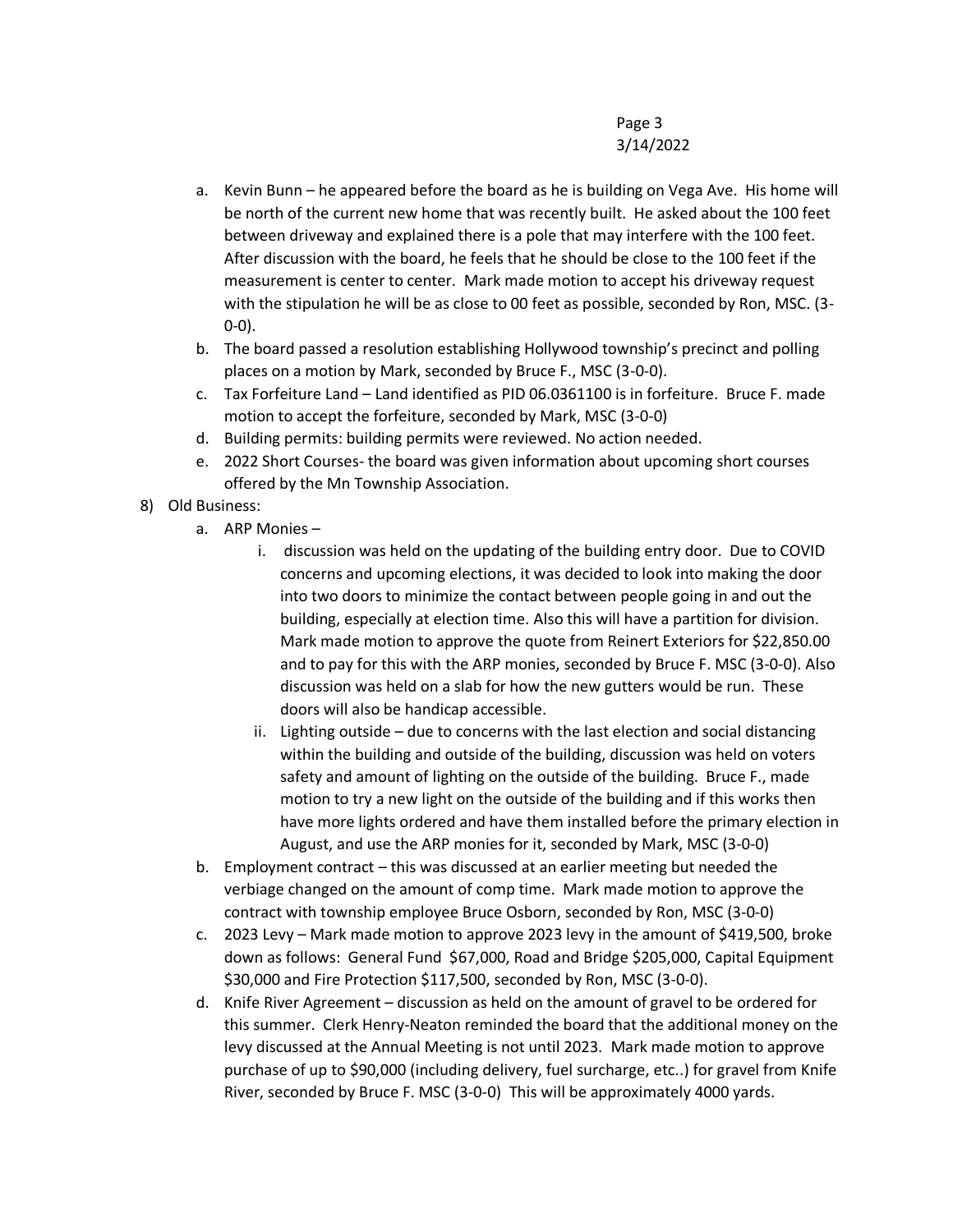## Page 3 3/14/2022

- a. Kevin Bunn he appeared before the board as he is building on Vega Ave. His home will be north of the current new home that was recently built. He asked about the 100 feet between driveway and explained there is a pole that may interfere with the 100 feet. After discussion with the board, he feels that he should be close to the 100 feet if the measurement is center to center. Mark made motion to accept his driveway request with the stipulation he will be as close to 00 feet as possible, seconded by Ron, MSC. (3- 0-0).
- b. The board passed a resolution establishing Hollywood township's precinct and polling places on a motion by Mark, seconded by Bruce F., MSC (3-0-0).
- c. Tax Forfeiture Land Land identified as PID 06.0361100 is in forfeiture. Bruce F. made motion to accept the forfeiture, seconded by Mark, MSC (3-0-0)
- d. Building permits: building permits were reviewed. No action needed.
- e. 2022 Short Courses- the board was given information about upcoming short courses offered by the Mn Township Association.
- 8) Old Business:
	- a. ARP Monies
		- i. discussion was held on the updating of the building entry door. Due to COVID concerns and upcoming elections, it was decided to look into making the door into two doors to minimize the contact between people going in and out the building, especially at election time. Also this will have a partition for division. Mark made motion to approve the quote from Reinert Exteriors for \$22,850.00 and to pay for this with the ARP monies, seconded by Bruce F. MSC (3-0-0). Also discussion was held on a slab for how the new gutters would be run. These doors will also be handicap accessible.
		- ii. Lighting outside due to concerns with the last election and social distancing within the building and outside of the building, discussion was held on voters safety and amount of lighting on the outside of the building. Bruce F., made motion to try a new light on the outside of the building and if this works then have more lights ordered and have them installed before the primary election in August, and use the ARP monies for it, seconded by Mark, MSC (3-0-0)
	- b. Employment contract this was discussed at an earlier meeting but needed the verbiage changed on the amount of comp time. Mark made motion to approve the contract with township employee Bruce Osborn, seconded by Ron, MSC (3-0-0)
	- c. 2023 Levy Mark made motion to approve 2023 levy in the amount of \$419,500, broke down as follows: General Fund \$67,000, Road and Bridge \$205,000, Capital Equipment \$30,000 and Fire Protection \$117,500, seconded by Ron, MSC (3-0-0).
	- d. Knife River Agreement discussion as held on the amount of gravel to be ordered for this summer. Clerk Henry-Neaton reminded the board that the additional money on the levy discussed at the Annual Meeting is not until 2023. Mark made motion to approve purchase of up to \$90,000 (including delivery, fuel surcharge, etc..) for gravel from Knife River, seconded by Bruce F. MSC (3-0-0) This will be approximately 4000 yards.